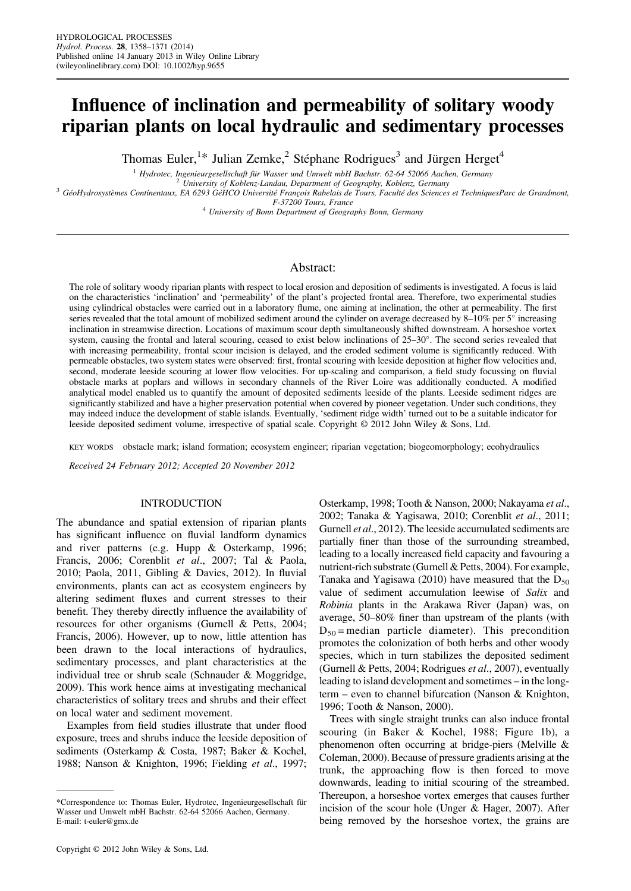# Influence of inclination and permeability of solitary woody riparian plants on local hydraulic and sedimentary processes

Thomas Euler,<sup>1\*</sup> Julian Zemke,<sup>2</sup> Stéphane Rodrigues<sup>3</sup> and Jürgen Herget<sup>4</sup>

<sup>1</sup> Hydrotec, Ingenieurgesellschaft für Wasser und Umwelt mbH Bachstr. 62-64 52066 Aachen, Germany<br><sup>3</sup> University of Koblenz-Landau, Department of Geography, Koblenz, Germany<br><sup>3</sup> GéoHydrosystèmes Continentaux, EA 6293 GéHC

 $4$  University of Bonn Department of Geography Bonn, Germany

# Abstract:

The role of solitary woody riparian plants with respect to local erosion and deposition of sediments is investigated. A focus is laid on the characteristics 'inclination' and 'permeability' of the plant's projected frontal area. Therefore, two experimental studies using cylindrical obstacles were carried out in a laboratory flume, one aiming at inclination, the other at permeability. The first series revealed that the total amount of mobilized sediment around the cylinder on average decreased by 8–10% per 5° increasing inclination in streamwise direction. Locations of maximum scour depth simultaneously shifted downstream. A horseshoe vortex system, causing the frontal and lateral scouring, ceased to exist below inclinations of 25–30°. The second series revealed that with increasing permeability, frontal scour incision is delayed, and the eroded sediment volume is significantly reduced. With permeable obstacles, two system states were observed: first, frontal scouring with leeside deposition at higher flow velocities and, second, moderate leeside scouring at lower flow velocities. For up-scaling and comparison, a field study focussing on fluvial obstacle marks at poplars and willows in secondary channels of the River Loire was additionally conducted. A modified analytical model enabled us to quantify the amount of deposited sediments leeside of the plants. Leeside sediment ridges are significantly stabilized and have a higher preservation potential when covered by pioneer vegetation. Under such conditions, they may indeed induce the development of stable islands. Eventually, 'sediment ridge width' turned out to be a suitable indicator for leeside deposited sediment volume, irrespective of spatial scale. Copyright © 2012 John Wiley & Sons, Ltd.

KEY WORDS obstacle mark; island formation; ecosystem engineer; riparian vegetation; biogeomorphology; ecohydraulics

Received 24 February 2012; Accepted 20 November 2012

#### INTRODUCTION

The abundance and spatial extension of riparian plants has significant influence on fluvial landform dynamics and river patterns (e.g. Hupp & Osterkamp, 1996; Francis, 2006; Corenblit et al., 2007; Tal & Paola, 2010; Paola, 2011, Gibling & Davies, 2012). In fluvial environments, plants can act as ecosystem engineers by altering sediment fluxes and current stresses to their benefit. They thereby directly influence the availability of resources for other organisms (Gurnell & Petts, 2004; Francis, 2006). However, up to now, little attention has been drawn to the local interactions of hydraulics, sedimentary processes, and plant characteristics at the individual tree or shrub scale (Schnauder & Moggridge, 2009). This work hence aims at investigating mechanical characteristics of solitary trees and shrubs and their effect on local water and sediment movement.

Examples from field studies illustrate that under flood exposure, trees and shrubs induce the leeside deposition of sediments (Osterkamp & Costa, 1987; Baker & Kochel, 1988; Nanson & Knighton, 1996; Fielding et al., 1997;

Osterkamp, 1998; Tooth & Nanson, 2000; Nakayama et al., 2002; Tanaka & Yagisawa, 2010; Corenblit et al., 2011; Gurnell et al., 2012). The leeside accumulated sediments are partially finer than those of the surrounding streambed, leading to a locally increased field capacity and favouring a nutrient-rich substrate (Gurnell & Petts, 2004). For example, Tanaka and Yagisawa (2010) have measured that the  $D_{50}$ value of sediment accumulation leewise of Salix and Robinia plants in the Arakawa River (Japan) was, on average, 50–80% finer than upstream of the plants (with  $D_{50}$  = median particle diameter). This precondition promotes the colonization of both herbs and other woody species, which in turn stabilizes the deposited sediment (Gurnell & Petts, 2004; Rodrigues et al., 2007), eventually leading to island development and sometimes – in the longterm – even to channel bifurcation (Nanson & Knighton, 1996; Tooth & Nanson, 2000).

Trees with single straight trunks can also induce frontal scouring (in Baker & Kochel, 1988; Figure 1b), a phenomenon often occurring at bridge-piers (Melville & Coleman, 2000). Because of pressure gradients arising at the trunk, the approaching flow is then forced to move downwards, leading to initial scouring of the streambed. Thereupon, a horseshoe vortex emerges that causes further incision of the scour hole (Unger & Hager, 2007). After being removed by the horseshoe vortex, the grains are

<sup>\*</sup>Correspondence to: Thomas Euler, Hydrotec, Ingenieurgesellschaft für Wasser und Umwelt mbH Bachstr. 62-64 52066 Aachen, Germany. E-mail: t-euler@gmx.de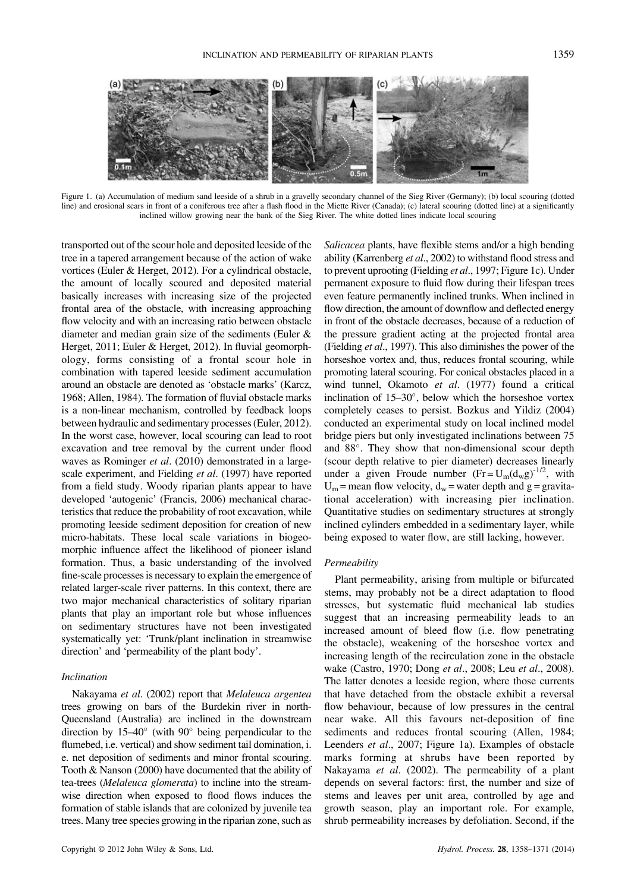

Figure 1. (a) Accumulation of medium sand leeside of a shrub in a gravelly secondary channel of the Sieg River (Germany); (b) local scouring (dotted line) and erosional scars in front of a coniferous tree after a flash flood in the Miette River (Canada); (c) lateral scouring (dotted line) at a significantly inclined willow growing near the bank of the Sieg River. The white dotted lines indicate local scouring

transported out of the scour hole and deposited leeside of the tree in a tapered arrangement because of the action of wake vortices (Euler & Herget, 2012). For a cylindrical obstacle, the amount of locally scoured and deposited material basically increases with increasing size of the projected frontal area of the obstacle, with increasing approaching flow velocity and with an increasing ratio between obstacle diameter and median grain size of the sediments (Euler & Herget, 2011; Euler & Herget, 2012). In fluvial geomorphology, forms consisting of a frontal scour hole in combination with tapered leeside sediment accumulation around an obstacle are denoted as 'obstacle marks' (Karcz, 1968; Allen, 1984). The formation of fluvial obstacle marks is a non-linear mechanism, controlled by feedback loops between hydraulic and sedimentary processes (Euler, 2012). In the worst case, however, local scouring can lead to root excavation and tree removal by the current under flood waves as Rominger et al. (2010) demonstrated in a largescale experiment, and Fielding et al. (1997) have reported from a field study. Woody riparian plants appear to have developed 'autogenic' (Francis, 2006) mechanical characteristics that reduce the probability of root excavation, while promoting leeside sediment deposition for creation of new micro-habitats. These local scale variations in biogeomorphic influence affect the likelihood of pioneer island formation. Thus, a basic understanding of the involved fine-scale processes is necessary to explain the emergence of related larger-scale river patterns. In this context, there are two major mechanical characteristics of solitary riparian plants that play an important role but whose influences on sedimentary structures have not been investigated systematically yet: 'Trunk/plant inclination in streamwise direction' and 'permeability of the plant body'.

# Inclination

Nakayama et al. (2002) report that Melaleuca argentea trees growing on bars of the Burdekin river in north-Queensland (Australia) are inclined in the downstream direction by  $15-40^{\circ}$  (with  $90^{\circ}$  being perpendicular to the flumebed, i.e. vertical) and show sediment tail domination, i. e. net deposition of sediments and minor frontal scouring. Tooth & Nanson (2000) have documented that the ability of tea-trees (Melaleuca glomerata) to incline into the streamwise direction when exposed to flood flows induces the formation of stable islands that are colonized by juvenile tea trees. Many tree species growing in the riparian zone, such as

Salicacea plants, have flexible stems and/or a high bending ability (Karrenberg et al., 2002) to withstand flood stress and to prevent uprooting (Fielding et al., 1997; Figure 1c). Under permanent exposure to fluid flow during their lifespan trees even feature permanently inclined trunks. When inclined in flow direction, the amount of downflow and deflected energy in front of the obstacle decreases, because of a reduction of the pressure gradient acting at the projected frontal area (Fielding et al., 1997). This also diminishes the power of the horseshoe vortex and, thus, reduces frontal scouring, while promoting lateral scouring. For conical obstacles placed in a wind tunnel, Okamoto et al. (1977) found a critical inclination of  $15-30^\circ$ , below which the horseshoe vortex completely ceases to persist. Bozkus and Yildiz (2004) conducted an experimental study on local inclined model bridge piers but only investigated inclinations between 75 and 88°. They show that non-dimensional scour depth (scour depth relative to pier diameter) decreases linearly under a given Froude number  $(Fr = U_m(d_w g)^{-1/2})$ , with  $U_m$  = mean flow velocity,  $d_w$  = water depth and g = gravitational acceleration) with increasing pier inclination. Quantitative studies on sedimentary structures at strongly inclined cylinders embedded in a sedimentary layer, while being exposed to water flow, are still lacking, however.

#### Permeability

Plant permeability, arising from multiple or bifurcated stems, may probably not be a direct adaptation to flood stresses, but systematic fluid mechanical lab studies suggest that an increasing permeability leads to an increased amount of bleed flow (i.e. flow penetrating the obstacle), weakening of the horseshoe vortex and increasing length of the recirculation zone in the obstacle wake (Castro, 1970; Dong et al., 2008; Leu et al., 2008). The latter denotes a leeside region, where those currents that have detached from the obstacle exhibit a reversal flow behaviour, because of low pressures in the central near wake. All this favours net-deposition of fine sediments and reduces frontal scouring (Allen, 1984; Leenders et al., 2007; Figure 1a). Examples of obstacle marks forming at shrubs have been reported by Nakayama et al. (2002). The permeability of a plant depends on several factors: first, the number and size of stems and leaves per unit area, controlled by age and growth season, play an important role. For example, shrub permeability increases by defoliation. Second, if the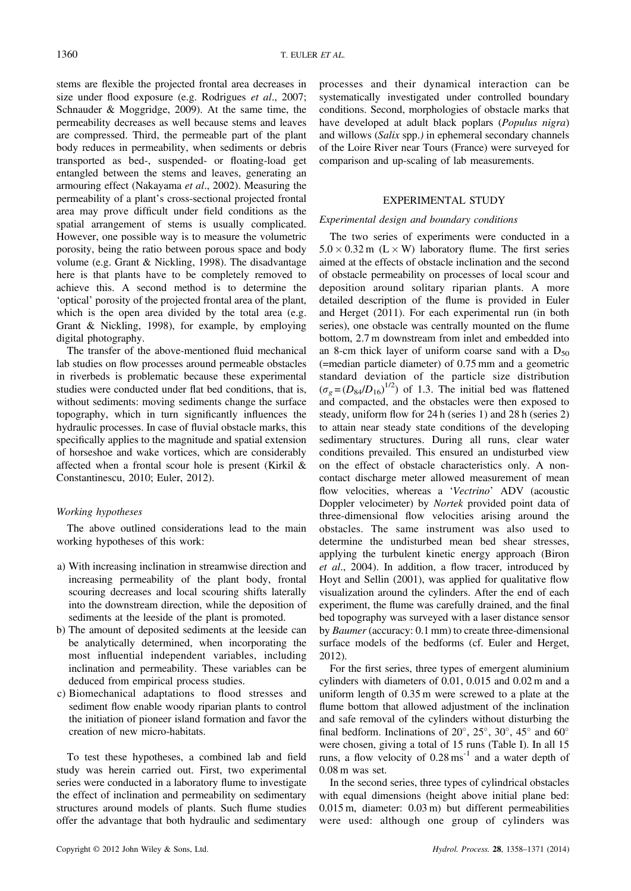stems are flexible the projected frontal area decreases in size under flood exposure (e.g. Rodrigues et al., 2007; Schnauder & Moggridge, 2009). At the same time, the permeability decreases as well because stems and leaves are compressed. Third, the permeable part of the plant body reduces in permeability, when sediments or debris transported as bed-, suspended- or floating-load get entangled between the stems and leaves, generating an armouring effect (Nakayama et al., 2002). Measuring the permeability of a plant's cross-sectional projected frontal area may prove difficult under field conditions as the spatial arrangement of stems is usually complicated. However, one possible way is to measure the volumetric porosity, being the ratio between porous space and body volume (e.g. Grant & Nickling, 1998). The disadvantage here is that plants have to be completely removed to achieve this. A second method is to determine the 'optical' porosity of the projected frontal area of the plant, which is the open area divided by the total area (e.g. Grant & Nickling, 1998), for example, by employing digital photography.

The transfer of the above-mentioned fluid mechanical lab studies on flow processes around permeable obstacles in riverbeds is problematic because these experimental studies were conducted under flat bed conditions, that is, without sediments: moving sediments change the surface topography, which in turn significantly influences the hydraulic processes. In case of fluvial obstacle marks, this specifically applies to the magnitude and spatial extension of horseshoe and wake vortices, which are considerably affected when a frontal scour hole is present (Kirkil & Constantinescu, 2010; Euler, 2012).

#### Working hypotheses

The above outlined considerations lead to the main working hypotheses of this work:

- a) With increasing inclination in streamwise direction and increasing permeability of the plant body, frontal scouring decreases and local scouring shifts laterally into the downstream direction, while the deposition of sediments at the leeside of the plant is promoted.
- b) The amount of deposited sediments at the leeside can be analytically determined, when incorporating the most influential independent variables, including inclination and permeability. These variables can be deduced from empirical process studies.
- c) Biomechanical adaptations to flood stresses and sediment flow enable woody riparian plants to control the initiation of pioneer island formation and favor the creation of new micro-habitats.

To test these hypotheses, a combined lab and field study was herein carried out. First, two experimental series were conducted in a laboratory flume to investigate the effect of inclination and permeability on sedimentary structures around models of plants. Such flume studies offer the advantage that both hydraulic and sedimentary

processes and their dynamical interaction can be systematically investigated under controlled boundary conditions. Second, morphologies of obstacle marks that have developed at adult black poplars (Populus nigra) and willows (Salix spp.) in ephemeral secondary channels of the Loire River near Tours (France) were surveyed for comparison and up-scaling of lab measurements.

#### EXPERIMENTAL STUDY

#### Experimental design and boundary conditions

The two series of experiments were conducted in a  $5.0 \times 0.32$  m (L  $\times$  W) laboratory flume. The first series aimed at the effects of obstacle inclination and the second of obstacle permeability on processes of local scour and deposition around solitary riparian plants. A more detailed description of the flume is provided in Euler and Herget (2011). For each experimental run (in both series), one obstacle was centrally mounted on the flume bottom, 2.7 m downstream from inlet and embedded into an 8-cm thick layer of uniform coarse sand with a  $D_{50}$ (=median particle diameter) of 0.75 mm and a geometric standard deviation of the particle size distribution  $(\sigma_g = (D_{84}/D_{16})^{1/2})$  of 1.3. The initial bed was flattened and compacted, and the obstacles were then exposed to steady, uniform flow for 24 h (series 1) and 28 h (series 2) to attain near steady state conditions of the developing sedimentary structures. During all runs, clear water conditions prevailed. This ensured an undisturbed view on the effect of obstacle characteristics only. A noncontact discharge meter allowed measurement of mean flow velocities, whereas a 'Vectrino' ADV (acoustic Doppler velocimeter) by Nortek provided point data of three-dimensional flow velocities arising around the obstacles. The same instrument was also used to determine the undisturbed mean bed shear stresses, applying the turbulent kinetic energy approach (Biron et al., 2004). In addition, a flow tracer, introduced by Hoyt and Sellin (2001), was applied for qualitative flow visualization around the cylinders. After the end of each experiment, the flume was carefully drained, and the final bed topography was surveyed with a laser distance sensor by Baumer (accuracy: 0.1 mm) to create three-dimensional surface models of the bedforms (cf. Euler and Herget, 2012).

For the first series, three types of emergent aluminium cylinders with diameters of 0.01, 0.015 and 0.02 m and a uniform length of 0.35 m were screwed to a plate at the flume bottom that allowed adjustment of the inclination and safe removal of the cylinders without disturbing the final bedform. Inclinations of  $20^{\circ}$ ,  $25^{\circ}$ ,  $30^{\circ}$ ,  $45^{\circ}$  and  $60^{\circ}$ were chosen, giving a total of 15 runs (Table I). In all 15 runs, a flow velocity of  $0.28 \text{ ms}^{-1}$  and a water depth of 0.08 m was set.

In the second series, three types of cylindrical obstacles with equal dimensions (height above initial plane bed: 0.015 m, diameter: 0.03 m) but different permeabilities were used: although one group of cylinders was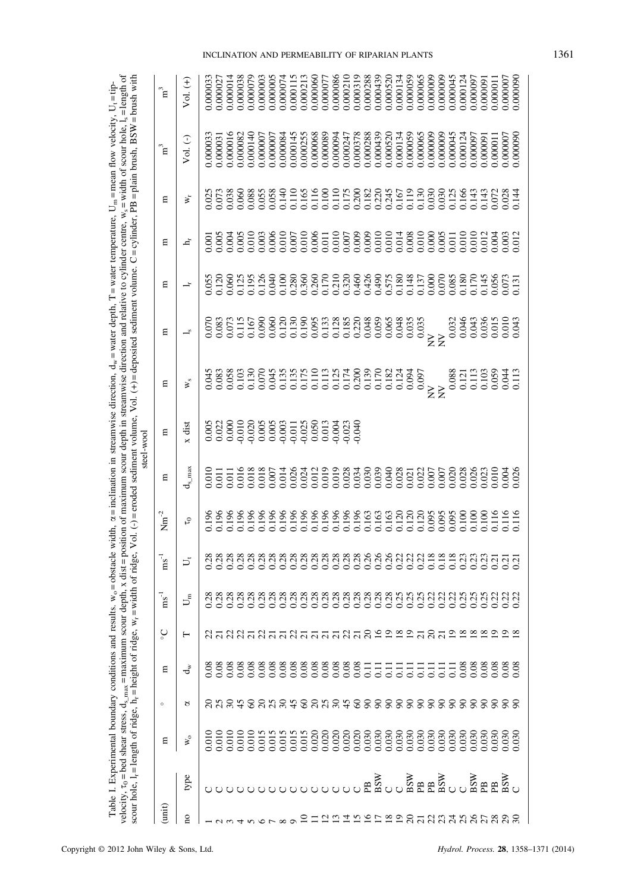| $\frac{1}{2}$                                           | j                                                 |                                                                                       |
|---------------------------------------------------------|---------------------------------------------------|---------------------------------------------------------------------------------------|
|                                                         | $\frac{1}{2}$                                     |                                                                                       |
|                                                         |                                                   | n≡<br>≫                                                                               |
|                                                         |                                                   |                                                                                       |
|                                                         |                                                   |                                                                                       |
|                                                         |                                                   | i utchu – x                                                                           |
|                                                         |                                                   | I                                                                                     |
|                                                         | I                                                 |                                                                                       |
|                                                         |                                                   | in man ui                                                                             |
|                                                         |                                                   | č<br>I                                                                                |
|                                                         |                                                   |                                                                                       |
|                                                         |                                                   |                                                                                       |
| $\frac{5}{1}$                                           | $-2.77772$                                        |                                                                                       |
|                                                         |                                                   |                                                                                       |
|                                                         |                                                   |                                                                                       |
|                                                         |                                                   |                                                                                       |
|                                                         |                                                   |                                                                                       |
|                                                         |                                                   | ľ<br>l                                                                                |
|                                                         |                                                   |                                                                                       |
|                                                         |                                                   |                                                                                       |
|                                                         |                                                   |                                                                                       |
|                                                         |                                                   |                                                                                       |
|                                                         |                                                   |                                                                                       |
|                                                         |                                                   |                                                                                       |
|                                                         |                                                   |                                                                                       |
|                                                         |                                                   | l                                                                                     |
|                                                         | とここ                                               | ł                                                                                     |
|                                                         |                                                   |                                                                                       |
| i                                                       | $max_{i}$ maximum scour depth, $x$ dist $=$ pos   |                                                                                       |
|                                                         |                                                   |                                                                                       |
|                                                         |                                                   |                                                                                       |
|                                                         |                                                   |                                                                                       |
|                                                         |                                                   |                                                                                       |
|                                                         |                                                   |                                                                                       |
|                                                         |                                                   |                                                                                       |
|                                                         | $l_{\rm s}$ max $\equiv$                          |                                                                                       |
|                                                         |                                                   |                                                                                       |
| rimental boundary conditions and results. $w_0 = 0$ bst | velocity, $\tau_0 = \text{bed shear stress}, d_e$ | scour hole, $I_r$ = length of ridge, $h_r$ = height of ridge, $w_r$ = width of ridge, |
|                                                         |                                                   |                                                                                       |
|                                                         |                                                   |                                                                                       |
|                                                         |                                                   |                                                                                       |
|                                                         |                                                   |                                                                                       |
| i                                                       |                                                   |                                                                                       |
|                                                         |                                                   |                                                                                       |

|            | ិដ               | $\overline{V}$ ol. $(+)$       |  |  | $\begin{array}{l} 0.000033\\ 0.000027\\ 0.000014\\ 0.000038\\ 0.000038\\ 0.000079\\ 0.000003\\ 0.000005\\ 0.000074\\ 0.000074\\ \end{array}$ |  |  |  |  |  |                                              |  |       |            |  |  |                                                    | 0.000011 | 0.000007<br>0.000090 |  |
|------------|------------------|--------------------------------|--|--|----------------------------------------------------------------------------------------------------------------------------------------------|--|--|--|--|--|----------------------------------------------|--|-------|------------|--|--|----------------------------------------------------|----------|----------------------|--|
|            | ិដ               | Vol. (-)                       |  |  |                                                                                                                                              |  |  |  |  |  |                                              |  |       |            |  |  |                                                    |          |                      |  |
|            | ε                | $\mathbf{W}_{\mathbf{r}}$      |  |  |                                                                                                                                              |  |  |  |  |  |                                              |  |       |            |  |  |                                                    |          |                      |  |
|            | Ξ                | ᅺ                              |  |  |                                                                                                                                              |  |  |  |  |  |                                              |  |       |            |  |  |                                                    |          |                      |  |
|            | ε                |                                |  |  |                                                                                                                                              |  |  |  |  |  |                                              |  |       |            |  |  |                                                    |          |                      |  |
|            | Ξ                | Ľ                              |  |  |                                                                                                                                              |  |  |  |  |  |                                              |  |       |            |  |  |                                                    |          |                      |  |
|            | ε                | ¥°                             |  |  |                                                                                                                                              |  |  |  |  |  |                                              |  | 0.097 | $\Sigma^2$ |  |  | 0.088<br>0.121<br>0.103<br>0.059<br>0.044<br>0.113 |          |                      |  |
| steel-wool | ε                | x dist                         |  |  |                                                                                                                                              |  |  |  |  |  |                                              |  |       |            |  |  |                                                    |          |                      |  |
|            | Ξ                | $\mathbf{d}_{\mathrm{s\_max}}$ |  |  |                                                                                                                                              |  |  |  |  |  |                                              |  |       |            |  |  |                                                    |          |                      |  |
|            | $Nm^{-2}$        | СJ                             |  |  |                                                                                                                                              |  |  |  |  |  |                                              |  |       |            |  |  |                                                    |          |                      |  |
|            | $\text{ms}^{-1}$ | ゴ                              |  |  |                                                                                                                                              |  |  |  |  |  |                                              |  |       |            |  |  |                                                    |          |                      |  |
|            | $\text{ms}^{-1}$ | $\mathsf{L}^{\mathsf{E}}$      |  |  |                                                                                                                                              |  |  |  |  |  |                                              |  |       |            |  |  |                                                    |          |                      |  |
|            | ပ္ခ              | ⊢                              |  |  | 818888888888888888888888888888                                                                                                               |  |  |  |  |  |                                              |  |       |            |  |  |                                                    |          |                      |  |
|            | ε                | ಕೆ                             |  |  |                                                                                                                                              |  |  |  |  |  |                                              |  |       |            |  |  |                                                    |          |                      |  |
|            | $\circ$          | 8                              |  |  | 8 3 8 4 6 8 3 8 4 6 8 3 9 4 6 8 8 8 8 8 8 8 8 8 8 8 8 8 8 8 8                                                                                |  |  |  |  |  |                                              |  |       |            |  |  |                                                    |          |                      |  |
|            | Ε                | $\aleph$                       |  |  |                                                                                                                                              |  |  |  |  |  |                                              |  |       |            |  |  |                                                    |          |                      |  |
|            |                  | type                           |  |  |                                                                                                                                              |  |  |  |  |  | ᇰᇰᇰᇰ<br>ᄓᅌᅌᅌᇎᅘᇰᇰᇰᇰᇰᇰᇰᇰᇰᇰᇰᇰᇰᇰ<br>ᄓᅌᅌᅌᇏᅌᇰᇰᇰᇰᇰᇰ |  |       |            |  |  |                                                    |          |                      |  |
|            | (imi             | $\overline{a}$                 |  |  |                                                                                                                                              |  |  |  |  |  |                                              |  |       |            |  |  | Enananananan                                       |          |                      |  |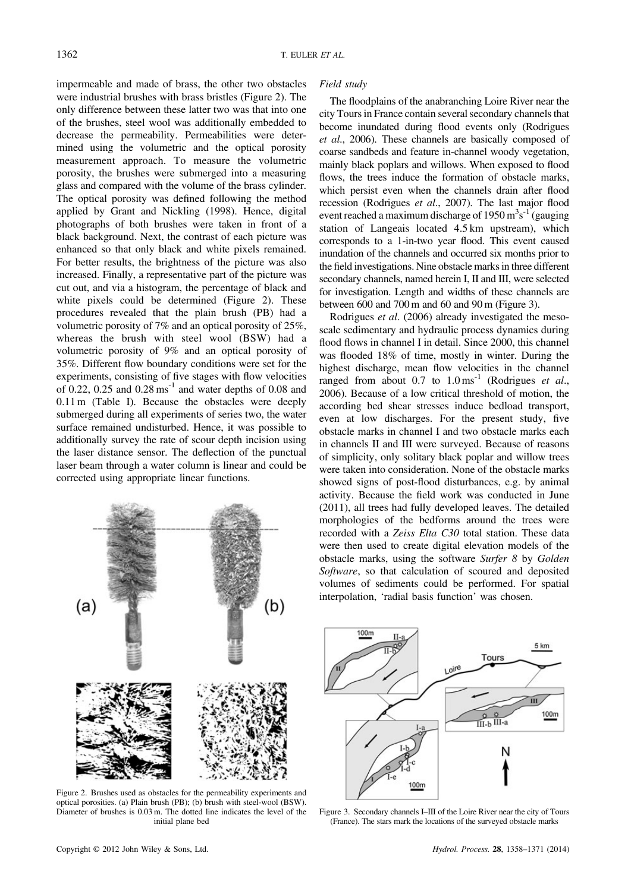impermeable and made of brass, the other two obstacles were industrial brushes with brass bristles (Figure 2). The only difference between these latter two was that into one of the brushes, steel wool was additionally embedded to decrease the permeability. Permeabilities were determined using the volumetric and the optical porosity measurement approach. To measure the volumetric porosity, the brushes were submerged into a measuring glass and compared with the volume of the brass cylinder. The optical porosity was defined following the method applied by Grant and Nickling (1998). Hence, digital photographs of both brushes were taken in front of a black background. Next, the contrast of each picture was enhanced so that only black and white pixels remained. For better results, the brightness of the picture was also increased. Finally, a representative part of the picture was cut out, and via a histogram, the percentage of black and white pixels could be determined (Figure 2). These procedures revealed that the plain brush (PB) had a volumetric porosity of 7% and an optical porosity of 25%, whereas the brush with steel wool (BSW) had a volumetric porosity of 9% and an optical porosity of 35%. Different flow boundary conditions were set for the experiments, consisting of five stages with flow velocities of 0.22, 0.25 and  $0.28 \text{ ms}^{-1}$  and water depths of 0.08 and 0.11 m (Table I). Because the obstacles were deeply submerged during all experiments of series two, the water surface remained undisturbed. Hence, it was possible to additionally survey the rate of scour depth incision using the laser distance sensor. The deflection of the punctual laser beam through a water column is linear and could be corrected using appropriate linear functions.



Figure 2. Brushes used as obstacles for the permeability experiments and optical porosities. (a) Plain brush (PB); (b) brush with steel-wool (BSW). Diameter of brushes is 0.03 m. The dotted line indicates the level of the initial plane bed



Figure 3. Secondary channels I–III of the Loire River near the city of Tours (France). The stars mark the locations of the surveyed obstacle marks

The floodplains of the anabranching Loire River near the city Tours in France contain several secondary channels that become inundated during flood events only (Rodrigues et al., 2006). These channels are basically composed of coarse sandbeds and feature in-channel woody vegetation, mainly black poplars and willows. When exposed to flood flows, the trees induce the formation of obstacle marks, which persist even when the channels drain after flood recession (Rodrigues et al., 2007). The last major flood event reached a maximum discharge of  $1950 \text{ m}^3\text{s}^{-1}$  (gauging station of Langeais located 4.5 km upstream), which corresponds to a 1-in-two year flood. This event caused inundation of the channels and occurred six months prior to the field investigations. Nine obstacle marks in three different secondary channels, named herein I, II and III, were selected for investigation. Length and widths of these channels are between 600 and 700 m and 60 and 90 m (Figure 3).

Rodrigues et al. (2006) already investigated the mesoscale sedimentary and hydraulic process dynamics during flood flows in channel I in detail. Since 2000, this channel was flooded 18% of time, mostly in winter. During the highest discharge, mean flow velocities in the channel ranged from about  $0.7$  to  $1.0 \text{ ms}^{-1}$  (Rodrigues et al., 2006). Because of a low critical threshold of motion, the according bed shear stresses induce bedload transport, even at low discharges. For the present study, five obstacle marks in channel I and two obstacle marks each in channels II and III were surveyed. Because of reasons of simplicity, only solitary black poplar and willow trees were taken into consideration. None of the obstacle marks showed signs of post-flood disturbances, e.g. by animal activity. Because the field work was conducted in June (2011), all trees had fully developed leaves. The detailed morphologies of the bedforms around the trees were recorded with a Zeiss Elta C30 total station. These data were then used to create digital elevation models of the obstacle marks, using the software Surfer 8 by Golden Software, so that calculation of scoured and deposited volumes of sediments could be performed. For spatial interpolation, 'radial basis function' was chosen.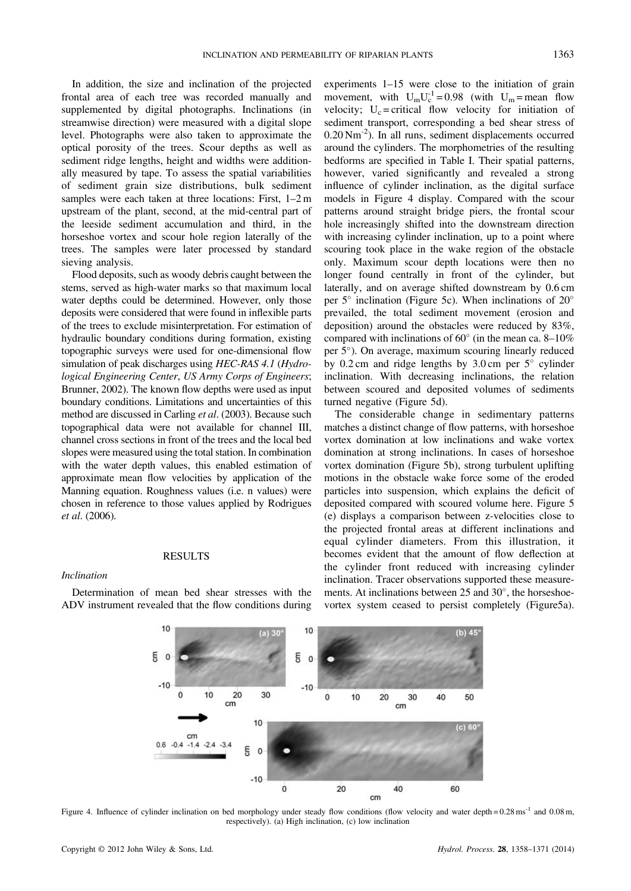In addition, the size and inclination of the projected frontal area of each tree was recorded manually and supplemented by digital photographs. Inclinations (in streamwise direction) were measured with a digital slope level. Photographs were also taken to approximate the optical porosity of the trees. Scour depths as well as sediment ridge lengths, height and widths were additionally measured by tape. To assess the spatial variabilities of sediment grain size distributions, bulk sediment samples were each taken at three locations: First, 1–2 m upstream of the plant, second, at the mid-central part of the leeside sediment accumulation and third, in the horseshoe vortex and scour hole region laterally of the trees. The samples were later processed by standard sieving analysis.

Flood deposits, such as woody debris caught between the stems, served as high-water marks so that maximum local water depths could be determined. However, only those deposits were considered that were found in inflexible parts of the trees to exclude misinterpretation. For estimation of hydraulic boundary conditions during formation, existing topographic surveys were used for one-dimensional flow simulation of peak discharges using HEC-RAS 4.1 (Hydrological Engineering Center, US Army Corps of Engineers; Brunner, 2002). The known flow depths were used as input boundary conditions. Limitations and uncertainties of this method are discussed in Carling et al. (2003). Because such topographical data were not available for channel III, channel cross sections in front of the trees and the local bed slopes were measured using the total station. In combination with the water depth values, this enabled estimation of approximate mean flow velocities by application of the Manning equation. Roughness values (i.e. n values) were chosen in reference to those values applied by Rodrigues et al. (2006).

#### RESULTS

# Inclination

Determination of mean bed shear stresses with the ADV instrument revealed that the flow conditions during experiments 1–15 were close to the initiation of grain movement, with  $U_m U_c^{-1} = 0.98$  (with  $U_m =$  mean flow velocity;  $U_c$  = critical flow velocity for initiation of sediment transport, corresponding a bed shear stress of  $0.20$  Nm<sup>-2</sup>). In all runs, sediment displacements occurred around the cylinders. The morphometries of the resulting bedforms are specified in Table I. Their spatial patterns, however, varied significantly and revealed a strong influence of cylinder inclination, as the digital surface models in Figure 4 display. Compared with the scour patterns around straight bridge piers, the frontal scour hole increasingly shifted into the downstream direction with increasing cylinder inclination, up to a point where scouring took place in the wake region of the obstacle only. Maximum scour depth locations were then no longer found centrally in front of the cylinder, but laterally, and on average shifted downstream by 0.6 cm per  $5^{\circ}$  inclination (Figure 5c). When inclinations of  $20^{\circ}$ prevailed, the total sediment movement (erosion and deposition) around the obstacles were reduced by 83%, compared with inclinations of  $60^{\circ}$  (in the mean ca. 8–10%) per 5). On average, maximum scouring linearly reduced by 0.2 cm and ridge lengths by  $3.0 \text{ cm}$  per  $5^{\circ}$  cylinder inclination. With decreasing inclinations, the relation between scoured and deposited volumes of sediments turned negative (Figure 5d).

The considerable change in sedimentary patterns matches a distinct change of flow patterns, with horseshoe vortex domination at low inclinations and wake vortex domination at strong inclinations. In cases of horseshoe vortex domination (Figure 5b), strong turbulent uplifting motions in the obstacle wake force some of the eroded particles into suspension, which explains the deficit of deposited compared with scoured volume here. Figure 5 (e) displays a comparison between z-velocities close to the projected frontal areas at different inclinations and equal cylinder diameters. From this illustration, it becomes evident that the amount of flow deflection at the cylinder front reduced with increasing cylinder inclination. Tracer observations supported these measurements. At inclinations between  $25$  and  $30^{\circ}$ , the horseshoevortex system ceased to persist completely (Figure5a).



Figure 4. Influence of cylinder inclination on bed morphology under steady flow conditions (flow velocity and water depth = 0.28 ms<sup>-1</sup> and 0.08 m, respectively). (a) High inclination, (c) low inclination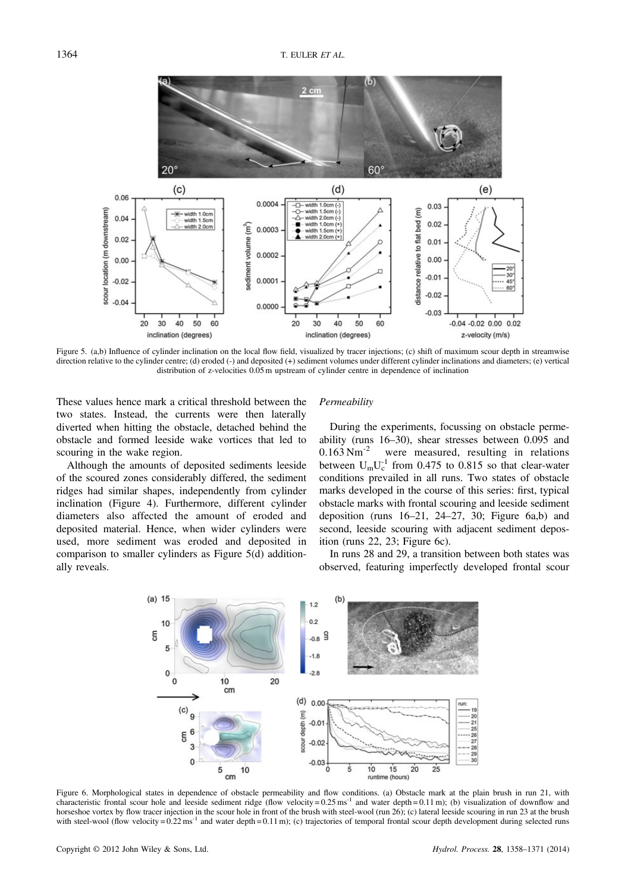

Figure 5. (a,b) Influence of cylinder inclination on the local flow field, visualized by tracer injections; (c) shift of maximum scour depth in streamwise direction relative to the cylinder centre; (d) eroded (-) and deposited (+) sediment volumes under different cylinder inclinations and diameters; (e) vertical distribution of z-velocities 0.05 m upstream of cylinder centre in dependence of inclination

These values hence mark a critical threshold between the two states. Instead, the currents were then laterally diverted when hitting the obstacle, detached behind the obstacle and formed leeside wake vortices that led to scouring in the wake region.

Although the amounts of deposited sediments leeside of the scoured zones considerably differed, the sediment ridges had similar shapes, independently from cylinder inclination (Figure 4). Furthermore, different cylinder diameters also affected the amount of eroded and deposited material. Hence, when wider cylinders were used, more sediment was eroded and deposited in comparison to smaller cylinders as Figure 5(d) additionally reveals.

# **Permeability**

During the experiments, focussing on obstacle permeability (runs 16–30), shear stresses between 0.095 and  $0.163$  Nm<sup>-2</sup> were measured, resulting in relations between  $U_m U_c^{-1}$  from 0.475 to 0.815 so that clear-water conditions prevailed in all runs. Two states of obstacle marks developed in the course of this series: first, typical obstacle marks with frontal scouring and leeside sediment deposition (runs  $16-21$ ,  $24-27$ ,  $30$ ; Figure  $6a$ , b) and second, leeside scouring with adjacent sediment deposition (runs 22, 23; Figure 6c).

In runs 28 and 29, a transition between both states was observed, featuring imperfectly developed frontal scour



Figure 6. Morphological states in dependence of obstacle permeability and flow conditions. (a) Obstacle mark at the plain brush in run 21, with characteristic frontal scour hole and leeside sediment ridge (flow velocity =  $0.25 \text{ ms}^{-1}$  and water depth =  $0.11 \text{ m}$ ); (b) visualization of downflow and horseshoe vortex by flow tracer injection in the scour hole in front of the brush with steel-wool (run 26); (c) lateral leeside scouring in run 23 at the brush with steel-wool (flow velocity =  $0.22 \text{ ms}^{-1}$  and water depth =  $0.11 \text{ m}$ ); (c) trajectories of temporal frontal scour depth development during selected runs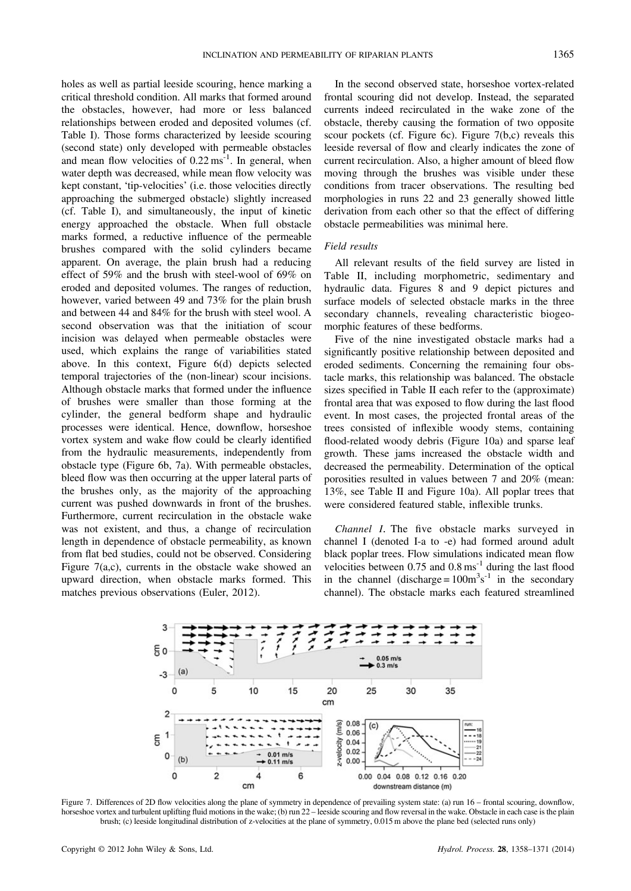holes as well as partial leeside scouring, hence marking a critical threshold condition. All marks that formed around the obstacles, however, had more or less balanced relationships between eroded and deposited volumes (cf. Table I). Those forms characterized by leeside scouring (second state) only developed with permeable obstacles and mean flow velocities of  $0.22 \text{ ms}^{-1}$ . In general, when water depth was decreased, while mean flow velocity was kept constant, 'tip-velocities' (i.e. those velocities directly approaching the submerged obstacle) slightly increased (cf. Table I), and simultaneously, the input of kinetic energy approached the obstacle. When full obstacle marks formed, a reductive influence of the permeable brushes compared with the solid cylinders became apparent. On average, the plain brush had a reducing effect of 59% and the brush with steel-wool of 69% on eroded and deposited volumes. The ranges of reduction, however, varied between 49 and 73% for the plain brush and between 44 and 84% for the brush with steel wool. A second observation was that the initiation of scour incision was delayed when permeable obstacles were used, which explains the range of variabilities stated above. In this context, Figure 6(d) depicts selected temporal trajectories of the (non-linear) scour incisions. Although obstacle marks that formed under the influence of brushes were smaller than those forming at the cylinder, the general bedform shape and hydraulic processes were identical. Hence, downflow, horseshoe vortex system and wake flow could be clearly identified from the hydraulic measurements, independently from obstacle type (Figure 6b, 7a). With permeable obstacles, bleed flow was then occurring at the upper lateral parts of the brushes only, as the majority of the approaching current was pushed downwards in front of the brushes. Furthermore, current recirculation in the obstacle wake was not existent, and thus, a change of recirculation length in dependence of obstacle permeability, as known from flat bed studies, could not be observed. Considering Figure 7(a,c), currents in the obstacle wake showed an upward direction, when obstacle marks formed. This matches previous observations (Euler, 2012).

In the second observed state, horseshoe vortex-related frontal scouring did not develop. Instead, the separated currents indeed recirculated in the wake zone of the obstacle, thereby causing the formation of two opposite scour pockets (cf. Figure 6c). Figure 7(b,c) reveals this leeside reversal of flow and clearly indicates the zone of current recirculation. Also, a higher amount of bleed flow moving through the brushes was visible under these conditions from tracer observations. The resulting bed morphologies in runs 22 and 23 generally showed little derivation from each other so that the effect of differing obstacle permeabilities was minimal here.

## Field results

All relevant results of the field survey are listed in Table II, including morphometric, sedimentary and hydraulic data. Figures 8 and 9 depict pictures and surface models of selected obstacle marks in the three secondary channels, revealing characteristic biogeomorphic features of these bedforms.

Five of the nine investigated obstacle marks had a significantly positive relationship between deposited and eroded sediments. Concerning the remaining four obstacle marks, this relationship was balanced. The obstacle sizes specified in Table II each refer to the (approximate) frontal area that was exposed to flow during the last flood event. In most cases, the projected frontal areas of the trees consisted of inflexible woody stems, containing flood-related woody debris (Figure 10a) and sparse leaf growth. These jams increased the obstacle width and decreased the permeability. Determination of the optical porosities resulted in values between 7 and 20% (mean: 13%, see Table II and Figure 10a). All poplar trees that were considered featured stable, inflexible trunks.

Channel I. The five obstacle marks surveyed in channel I (denoted I-a to -e) had formed around adult black poplar trees. Flow simulations indicated mean flow velocities between  $0.75$  and  $0.8 \text{ ms}^{-1}$  during the last flood in the channel (discharge =  $100m^3s^{-1}$  in the secondary channel). The obstacle marks each featured streamlined



Figure 7. Differences of 2D flow velocities along the plane of symmetry in dependence of prevailing system state: (a) run 16 – frontal scouring, downflow, horseshoe vortex and turbulent uplifting fluid motions in the wake; (b) run 22 – leeside scouring and flow reversal in the wake. Obstacle in each case is the plain brush; (c) leeside longitudinal distribution of z-velocities at the plane of symmetry, 0.015 m above the plane bed (selected runs only)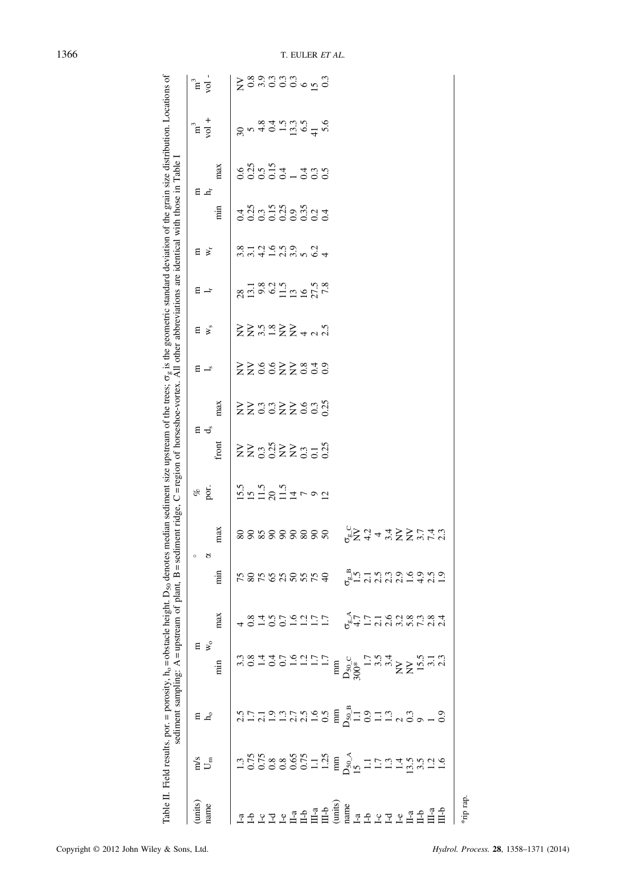|         |                          |              | Table II. Field results, por. = porosity, $h_0$ = obstacle height. D <sub>50</sub> denotes median sediment size upstream of the trees; $\sigma_g$ is the geometric standard deviation of the grain size distribution. Locations of<br>sediment sampling: $A =$ upstream of plant, $B =$ sediments |                                       |                      |                                                                                                                                                                                                                                                                                                                                             | ent ridge, C=region of horseshoe-vortex. All other abbreviations are identical with those in Table I |                                   |                         |                |                                                                                      |                                      |                              |                                               |                                                |                               |                         |
|---------|--------------------------|--------------|---------------------------------------------------------------------------------------------------------------------------------------------------------------------------------------------------------------------------------------------------------------------------------------------------|---------------------------------------|----------------------|---------------------------------------------------------------------------------------------------------------------------------------------------------------------------------------------------------------------------------------------------------------------------------------------------------------------------------------------|------------------------------------------------------------------------------------------------------|-----------------------------------|-------------------------|----------------|--------------------------------------------------------------------------------------|--------------------------------------|------------------------------|-----------------------------------------------|------------------------------------------------|-------------------------------|-------------------------|
| (units) | $\sum_{m}^{s}$           | $E_{\alpha}$ | $E \times$                                                                                                                                                                                                                                                                                        |                                       |                      | $\circ$                                                                                                                                                                                                                                                                                                                                     | of                                                                                                   | ∄ ರೆ                              |                         | Е              | 日                                                                                    | 日 낙                                  | 듭                            | E F                                           |                                                | n <sup>3</sup>                | ີ∃                      |
| name    |                          |              |                                                                                                                                                                                                                                                                                                   |                                       | ਲ                    |                                                                                                                                                                                                                                                                                                                                             | por                                                                                                  |                                   |                         | $\mathbf{I}_s$ | $\mathbf{w}_\mathrm{s}$                                                              |                                      | $\aleph_{r}$                 |                                               |                                                | $\frac{1}{2}$                 | $\overline{\mathrm{S}}$ |
|         |                          |              | min                                                                                                                                                                                                                                                                                               | max                                   | min                  | max                                                                                                                                                                                                                                                                                                                                         |                                                                                                      | front                             | max                     |                |                                                                                      |                                      |                              | $\frac{1}{2}$                                 | max                                            |                               |                         |
|         |                          |              |                                                                                                                                                                                                                                                                                                   |                                       |                      |                                                                                                                                                                                                                                                                                                                                             |                                                                                                      |                                   |                         |                |                                                                                      |                                      |                              |                                               | 0.6                                            |                               |                         |
|         |                          |              | 3<br>3<br>3<br>3<br>4<br>3<br>5<br>5<br>2<br>5<br>2<br>5<br>2<br>2<br>2<br>2<br>2<br>2<br>2<br>2<br>                                                                                                                                                                                              |                                       |                      | 88888888                                                                                                                                                                                                                                                                                                                                    |                                                                                                      | $\Sigma \Sigma$ 332 $\Sigma$ 3536 | $\Sigma \Sigma$ 3322333 | ZZS8ZZ830      | $\Sigma \Sigma$ $\stackrel{\sim}{\sim}$ $\Sigma \Sigma + \sim \stackrel{\sim}{\sim}$ | 2013<br>2014<br>2015<br>2015<br>2016 |                              | 4<br>4 3 3 4 5 4 6 7 4<br>6 6 6 6 6 6 6 6 7 4 |                                                | $9.940196740$<br>$9.40196740$ | sangga dang             |
|         |                          |              |                                                                                                                                                                                                                                                                                                   |                                       |                      |                                                                                                                                                                                                                                                                                                                                             |                                                                                                      |                                   |                         |                |                                                                                      |                                      |                              |                                               |                                                |                               |                         |
|         |                          |              |                                                                                                                                                                                                                                                                                                   |                                       |                      |                                                                                                                                                                                                                                                                                                                                             |                                                                                                      |                                   |                         |                |                                                                                      |                                      |                              |                                               |                                                |                               |                         |
|         |                          |              |                                                                                                                                                                                                                                                                                                   |                                       |                      |                                                                                                                                                                                                                                                                                                                                             |                                                                                                      |                                   |                         |                |                                                                                      |                                      |                              |                                               |                                                |                               |                         |
|         |                          |              |                                                                                                                                                                                                                                                                                                   |                                       |                      |                                                                                                                                                                                                                                                                                                                                             |                                                                                                      |                                   |                         |                |                                                                                      |                                      | d c n o c d<br>4 - d c n o 4 |                                               | $0.55$<br>$0.54$<br>$0.54$<br>$0.55$<br>$0.55$ |                               |                         |
|         |                          |              |                                                                                                                                                                                                                                                                                                   |                                       |                      |                                                                                                                                                                                                                                                                                                                                             |                                                                                                      |                                   |                         |                |                                                                                      |                                      |                              |                                               |                                                |                               |                         |
|         |                          |              |                                                                                                                                                                                                                                                                                                   |                                       |                      |                                                                                                                                                                                                                                                                                                                                             |                                                                                                      |                                   |                         |                |                                                                                      |                                      |                              |                                               |                                                |                               |                         |
|         |                          |              |                                                                                                                                                                                                                                                                                                   | 0.1001177                             |                      |                                                                                                                                                                                                                                                                                                                                             |                                                                                                      |                                   |                         |                |                                                                                      |                                      |                              |                                               |                                                |                               |                         |
|         |                          |              |                                                                                                                                                                                                                                                                                                   |                                       |                      |                                                                                                                                                                                                                                                                                                                                             |                                                                                                      |                                   |                         |                |                                                                                      |                                      |                              |                                               |                                                |                               |                         |
|         | 136888621215099111138211 |              | $\begin{array}{c} \min\limits_{\substack{5_0\subset {\mathbb{C}}\\ 00*}{\mathbb{C}}}} \min\limits_{\substack{5,5,5\\ 1.7,5,4}} \max\limits_{\substack{5,5,5\\ 1.7,5,4}} \max\limits_{\substack{5,5,5\\ 1.7,5,6}} \min\limits_{\substack{5,5,5\\ 2.1,5,6}} \end{array}$                            | ra<br>Francisco de di<br>Francisco di | rsksasare süntsasens |                                                                                                                                                                                                                                                                                                                                             |                                                                                                      |                                   |                         |                |                                                                                      |                                      |                              |                                               |                                                |                               |                         |
|         |                          |              |                                                                                                                                                                                                                                                                                                   |                                       |                      |                                                                                                                                                                                                                                                                                                                                             |                                                                                                      |                                   |                         |                |                                                                                      |                                      |                              |                                               |                                                |                               |                         |
|         |                          |              |                                                                                                                                                                                                                                                                                                   |                                       |                      |                                                                                                                                                                                                                                                                                                                                             |                                                                                                      |                                   |                         |                |                                                                                      |                                      |                              |                                               |                                                |                               |                         |
|         |                          |              |                                                                                                                                                                                                                                                                                                   |                                       |                      |                                                                                                                                                                                                                                                                                                                                             |                                                                                                      |                                   |                         |                |                                                                                      |                                      |                              |                                               |                                                |                               |                         |
|         |                          |              |                                                                                                                                                                                                                                                                                                   |                                       |                      |                                                                                                                                                                                                                                                                                                                                             |                                                                                                      |                                   |                         |                |                                                                                      |                                      |                              |                                               |                                                |                               |                         |
|         |                          |              |                                                                                                                                                                                                                                                                                                   |                                       |                      |                                                                                                                                                                                                                                                                                                                                             |                                                                                                      |                                   |                         |                |                                                                                      |                                      |                              |                                               |                                                |                               |                         |
|         |                          |              |                                                                                                                                                                                                                                                                                                   |                                       |                      |                                                                                                                                                                                                                                                                                                                                             |                                                                                                      |                                   |                         |                |                                                                                      |                                      |                              |                                               |                                                |                               |                         |
|         |                          |              |                                                                                                                                                                                                                                                                                                   |                                       |                      |                                                                                                                                                                                                                                                                                                                                             |                                                                                                      |                                   |                         |                |                                                                                      |                                      |                              |                                               |                                                |                               |                         |
|         |                          |              |                                                                                                                                                                                                                                                                                                   |                                       |                      | $\sum_{i=0}^{n} \sum_{i=0}^{n} \sum_{j=0}^{n} \sum_{j=0}^{n} \sum_{i=0}^{n} \sum_{i=0}^{n} \sum_{i=0}^{n} \sum_{j=0}^{n} \sum_{i=0}^{n} \sum_{i=0}^{n} \sum_{j=0}^{n} \sum_{i=0}^{n} \sum_{j=0}^{n} \sum_{j=0}^{n} \sum_{j=0}^{n} \sum_{j=0}^{n} \sum_{j=0}^{n} \sum_{j=0}^{n} \sum_{j=0}^{n} \sum_{j=0}^{n} \sum_{j=0}^{n} \sum_{j=0}^{n}$ |                                                                                                      |                                   |                         |                |                                                                                      |                                      |                              |                                               |                                                |                               |                         |
|         |                          |              |                                                                                                                                                                                                                                                                                                   |                                       |                      |                                                                                                                                                                                                                                                                                                                                             |                                                                                                      |                                   |                         |                |                                                                                      |                                      |                              |                                               |                                                |                               |                         |

\*rip rap.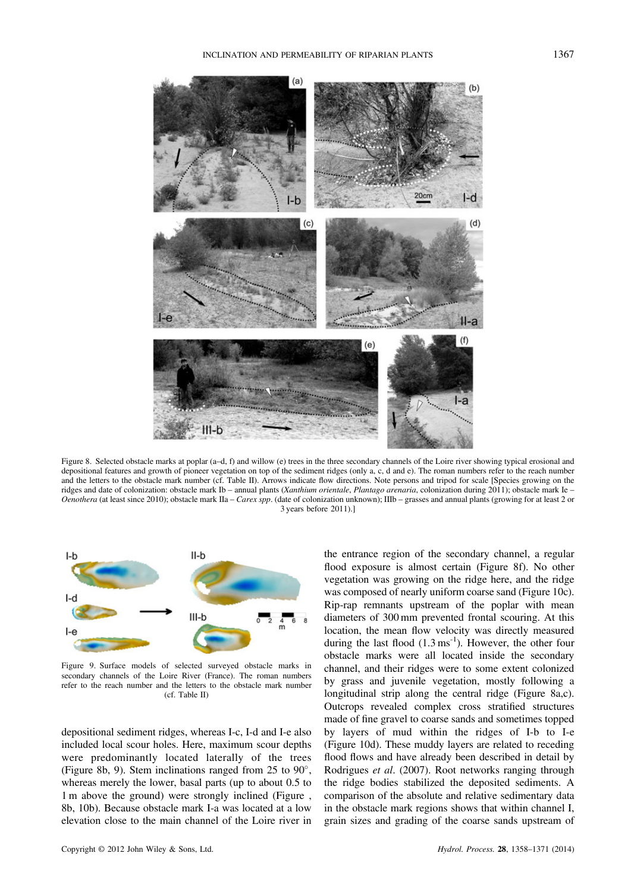



Figure 8. Selected obstacle marks at poplar (a–d, f) and willow (e) trees in the three secondary channels of the Loire river showing typical erosional and depositional features and growth of pioneer vegetation on top of the sediment ridges (only a, c, d and e). The roman numbers refer to the reach number and the letters to the obstacle mark number (cf. Table II). Arrows indicate flow directions. Note persons and tripod for scale [Species growing on the ridges and date of colonization: obstacle mark Ib – annual plants (Xanthium orientale, Plantago arenaria, colonization during 2011); obstacle mark Ie – Oenothera (at least since 2010); obstacle mark IIa – Carex spp. (date of colonization unknown); IIIb – grasses and annual plants (growing for at least 2 or 3 years before 2011).]



Figure 9. Surface models of selected surveyed obstacle marks in secondary channels of the Loire River (France). The roman numbers refer to the reach number and the letters to the obstacle mark number (cf. Table II)

depositional sediment ridges, whereas I-c, I-d and I-e also included local scour holes. Here, maximum scour depths were predominantly located laterally of the trees (Figure 8b, 9). Stem inclinations ranged from 25 to  $90^{\circ}$ , whereas merely the lower, basal parts (up to about 0.5 to 1 m above the ground) were strongly inclined (Figure , 8b, 10b). Because obstacle mark I-a was located at a low elevation close to the main channel of the Loire river in

the entrance region of the secondary channel, a regular flood exposure is almost certain (Figure 8f). No other vegetation was growing on the ridge here, and the ridge was composed of nearly uniform coarse sand (Figure 10c). Rip-rap remnants upstream of the poplar with mean diameters of 300 mm prevented frontal scouring. At this location, the mean flow velocity was directly measured during the last flood  $(1.3 \text{ ms}^{-1})$ . However, the other four obstacle marks were all located inside the secondary channel, and their ridges were to some extent colonized by grass and juvenile vegetation, mostly following a longitudinal strip along the central ridge (Figure 8a,c). Outcrops revealed complex cross stratified structures made of fine gravel to coarse sands and sometimes topped by layers of mud within the ridges of I-b to I-e (Figure 10d). These muddy layers are related to receding flood flows and have already been described in detail by Rodrigues et al. (2007). Root networks ranging through the ridge bodies stabilized the deposited sediments. A comparison of the absolute and relative sedimentary data in the obstacle mark regions shows that within channel I, grain sizes and grading of the coarse sands upstream of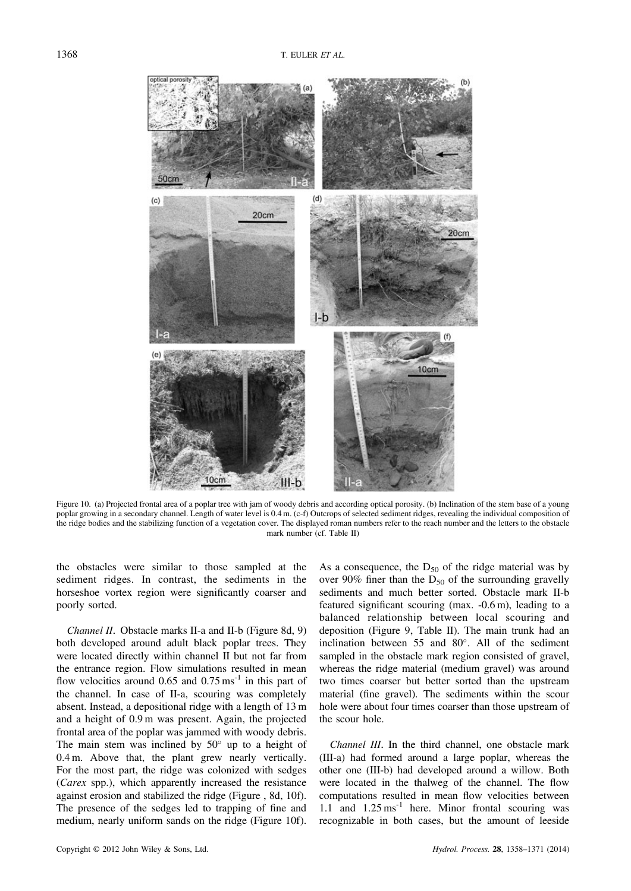

Figure 10. (a) Projected frontal area of a poplar tree with jam of woody debris and according optical porosity. (b) Inclination of the stem base of a young poplar growing in a secondary channel. Length of water level is 0.4 m. (c-f) Outcrops of selected sediment ridges, revealing the individual composition of the ridge bodies and the stabilizing function of a vegetation cover. The displayed roman numbers refer to the reach number and the letters to the obstacle mark number (cf. Table II)

the obstacles were similar to those sampled at the sediment ridges. In contrast, the sediments in the horseshoe vortex region were significantly coarser and poorly sorted.

Channel II. Obstacle marks II-a and II-b (Figure 8d, 9) both developed around adult black poplar trees. They were located directly within channel II but not far from the entrance region. Flow simulations resulted in mean flow velocities around  $0.65$  and  $0.75 \text{ ms}^{-1}$  in this part of the channel. In case of II-a, scouring was completely absent. Instead, a depositional ridge with a length of 13 m and a height of 0.9 m was present. Again, the projected frontal area of the poplar was jammed with woody debris. The main stem was inclined by  $50^{\circ}$  up to a height of 0.4 m. Above that, the plant grew nearly vertically. For the most part, the ridge was colonized with sedges (Carex spp.), which apparently increased the resistance against erosion and stabilized the ridge (Figure , 8d, 10f). The presence of the sedges led to trapping of fine and medium, nearly uniform sands on the ridge (Figure 10f).

As a consequence, the  $D_{50}$  of the ridge material was by over 90% finer than the  $D_{50}$  of the surrounding gravelly sediments and much better sorted. Obstacle mark II-b featured significant scouring (max. -0.6 m), leading to a balanced relationship between local scouring and deposition (Figure 9, Table II). The main trunk had an inclination between  $55$  and  $80^\circ$ . All of the sediment sampled in the obstacle mark region consisted of gravel, whereas the ridge material (medium gravel) was around two times coarser but better sorted than the upstream material (fine gravel). The sediments within the scour hole were about four times coarser than those upstream of the scour hole.

Channel III. In the third channel, one obstacle mark (III-a) had formed around a large poplar, whereas the other one (III-b) had developed around a willow. Both were located in the thalweg of the channel. The flow computations resulted in mean flow velocities between 1.1 and  $1.25 \text{ ms}^{-1}$  here. Minor frontal scouring was recognizable in both cases, but the amount of leeside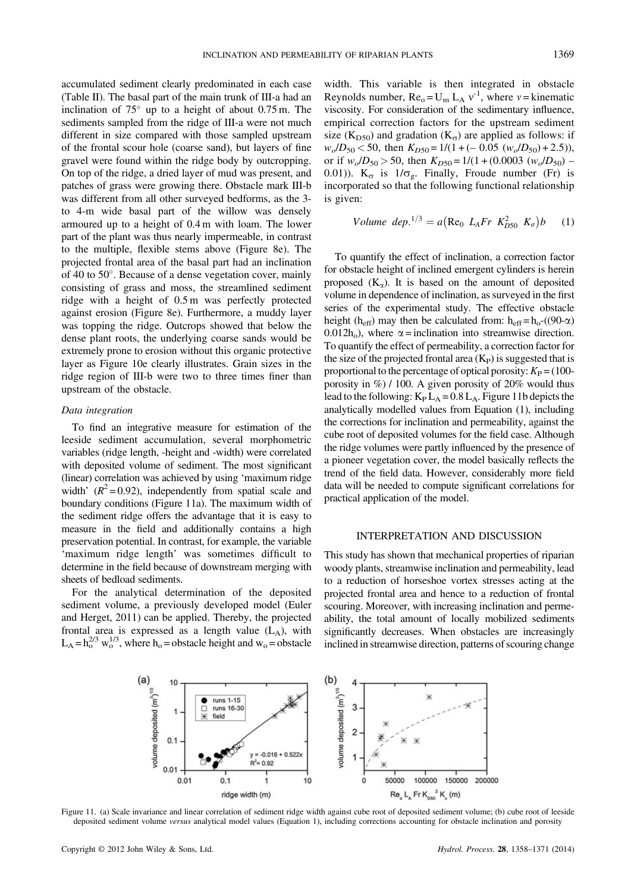accumulated sediment clearly predominated in each case (Table II). The basal part of the main trunk of III-a had an inclination of  $75^{\circ}$  up to a height of about 0.75 m. The sediments sampled from the ridge of III-a were not much different in size compared with those sampled upstream of the frontal scour hole (coarse sand), but layers of fine gravel were found within the ridge body by outcropping. On top of the ridge, a dried layer of mud was present, and patches of grass were growing there. Obstacle mark III-b was different from all other surveyed bedforms, as the 3 to 4-m wide basal part of the willow was densely armoured up to a height of 0.4 m with loam. The lower part of the plant was thus nearly impermeable, in contrast to the multiple, flexible stems above (Figure 8e). The projected frontal area of the basal part had an inclination of 40 to  $50^\circ$ . Because of a dense vegetation cover, mainly consisting of grass and moss, the streamlined sediment ridge with a height of 0.5 m was perfectly protected against erosion (Figure 8e). Furthermore, a muddy layer was topping the ridge. Outcrops showed that below the dense plant roots, the underlying coarse sands would be extremely prone to erosion without this organic protective layer as Figure 10e clearly illustrates. Grain sizes in the ridge region of III-b were two to three times finer than upstream of the obstacle.

# Data integration

To find an integrative measure for estimation of the leeside sediment accumulation, several morphometric variables (ridge length, -height and -width) were correlated with deposited volume of sediment. The most significant (linear) correlation was achieved by using 'maximum ridge width'  $(R^2 = 0.92)$ , independently from spatial scale and boundary conditions (Figure 11a). The maximum width of the sediment ridge offers the advantage that it is easy to measure in the field and additionally contains a high preservation potential. In contrast, for example, the variable 'maximum ridge length' was sometimes difficult to determine in the field because of downstream merging with sheets of bedload sediments.

For the analytical determination of the deposited sediment volume, a previously developed model (Euler and Herget, 2011) can be applied. Thereby, the projected frontal area is expressed as a length value  $(L_A)$ , with  $L_A = h_0^{2/3}$  w<sup>1/3</sup>, where h<sub>o</sub> = obstacle height and w<sub>o</sub> = obstacle width. This variable is then integrated in obstacle Reynolds number,  $Re_0 = U_m L_A v^{-1}$ , where  $v =$  kinematic viscosity. For consideration of the sedimentary influence, empirical correction factors for the upstream sediment size (K<sub>D50</sub>) and gradation (K<sub> $\sigma$ </sub>) are applied as follows: if  $w_o/D_{50}$  < 50, then  $K_{D50}$  = 1/(1+(- 0.05 ( $w_o/D_{50}$ )+2.5)), or if  $w_o/D_{50} > 50$ , then  $K_{D50} = 1/(1 + (0.0003 \ (w_o/D_{50}) -$ 0.01)).  $K_{\sigma}$  is  $1/\sigma_{g}$ . Finally, Froude number (Fr) is incorporated so that the following functional relationship is given:

Volume dep.<sup>1/3</sup> = 
$$
a(\text{Re}_0 L_A Fr K_{D50}^2 K_{\sigma})b
$$
 (1)

To quantify the effect of inclination, a correction factor for obstacle height of inclined emergent cylinders is herein proposed  $(K_{\alpha})$ . It is based on the amount of deposited volume in dependence of inclination, as surveyed in the first series of the experimental study. The effective obstacle height (h<sub>eff</sub>) may then be calculated from: h<sub>eff</sub> = h<sub>o</sub>-((90- $\alpha$ ) 0.012h<sub>o</sub>), where  $\alpha$  = inclination into streamwise direction. To quantify the effect of permeability, a correction factor for the size of the projected frontal area  $(K_P)$  is suggested that is proportional to the percentage of optical porosity:  $K_P = (100$ porosity in %) / 100. A given porosity of 20% would thus lead to the following:  $K_P L_A = 0.8 L_A$ . Figure 11b depicts the analytically modelled values from Equation (1), including the corrections for inclination and permeability, against the cube root of deposited volumes for the field case. Although the ridge volumes were partly influenced by the presence of a pioneer vegetation cover, the model basically reflects the trend of the field data. However, considerably more field data will be needed to compute significant correlations for practical application of the model.

#### INTERPRETATION AND DISCUSSION

This study has shown that mechanical properties of riparian woody plants, streamwise inclination and permeability, lead to a reduction of horseshoe vortex stresses acting at the projected frontal area and hence to a reduction of frontal scouring. Moreover, with increasing inclination and permeability, the total amount of locally mobilized sediments significantly decreases. When obstacles are increasingly inclined in streamwise direction, patterns of scouring change



Figure 11. (a) Scale invariance and linear correlation of sediment ridge width against cube root of deposited sediment volume; (b) cube root of leeside deposited sediment volume versus analytical model values (Equation 1), including corrections accounting for obstacle inclination and porosity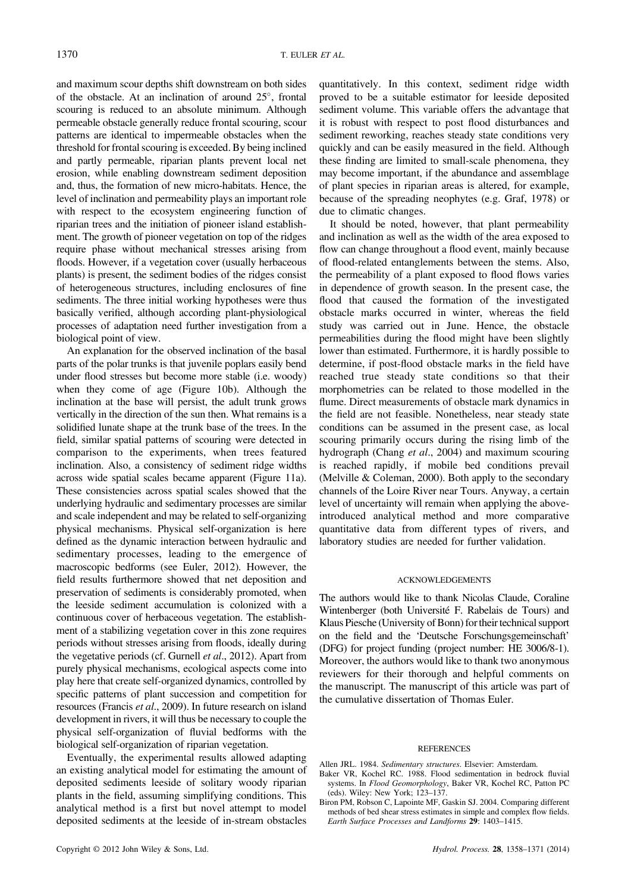and maximum scour depths shift downstream on both sides of the obstacle. At an inclination of around  $25^{\circ}$ , frontal scouring is reduced to an absolute minimum. Although permeable obstacle generally reduce frontal scouring, scour patterns are identical to impermeable obstacles when the threshold for frontal scouring is exceeded. By being inclined and partly permeable, riparian plants prevent local net erosion, while enabling downstream sediment deposition and, thus, the formation of new micro-habitats. Hence, the level of inclination and permeability plays an important role with respect to the ecosystem engineering function of riparian trees and the initiation of pioneer island establishment. The growth of pioneer vegetation on top of the ridges require phase without mechanical stresses arising from floods. However, if a vegetation cover (usually herbaceous plants) is present, the sediment bodies of the ridges consist of heterogeneous structures, including enclosures of fine sediments. The three initial working hypotheses were thus basically verified, although according plant-physiological processes of adaptation need further investigation from a biological point of view.

An explanation for the observed inclination of the basal parts of the polar trunks is that juvenile poplars easily bend under flood stresses but become more stable (i.e. woody) when they come of age (Figure 10b). Although the inclination at the base will persist, the adult trunk grows vertically in the direction of the sun then. What remains is a solidified lunate shape at the trunk base of the trees. In the field, similar spatial patterns of scouring were detected in comparison to the experiments, when trees featured inclination. Also, a consistency of sediment ridge widths across wide spatial scales became apparent (Figure 11a). These consistencies across spatial scales showed that the underlying hydraulic and sedimentary processes are similar and scale independent and may be related to self-organizing physical mechanisms. Physical self-organization is here defined as the dynamic interaction between hydraulic and sedimentary processes, leading to the emergence of macroscopic bedforms (see Euler, 2012). However, the field results furthermore showed that net deposition and preservation of sediments is considerably promoted, when the leeside sediment accumulation is colonized with a continuous cover of herbaceous vegetation. The establishment of a stabilizing vegetation cover in this zone requires periods without stresses arising from floods, ideally during the vegetative periods (cf. Gurnell *et al.*, 2012). Apart from purely physical mechanisms, ecological aspects come into play here that create self-organized dynamics, controlled by specific patterns of plant succession and competition for resources (Francis et al., 2009). In future research on island development in rivers, it will thus be necessary to couple the physical self-organization of fluvial bedforms with the biological self-organization of riparian vegetation.

Eventually, the experimental results allowed adapting an existing analytical model for estimating the amount of deposited sediments leeside of solitary woody riparian plants in the field, assuming simplifying conditions. This analytical method is a first but novel attempt to model deposited sediments at the leeside of in-stream obstacles

quantitatively. In this context, sediment ridge width proved to be a suitable estimator for leeside deposited sediment volume. This variable offers the advantage that it is robust with respect to post flood disturbances and sediment reworking, reaches steady state conditions very quickly and can be easily measured in the field. Although these finding are limited to small-scale phenomena, they may become important, if the abundance and assemblage of plant species in riparian areas is altered, for example, because of the spreading neophytes (e.g. Graf, 1978) or due to climatic changes.

It should be noted, however, that plant permeability and inclination as well as the width of the area exposed to flow can change throughout a flood event, mainly because of flood-related entanglements between the stems. Also, the permeability of a plant exposed to flood flows varies in dependence of growth season. In the present case, the flood that caused the formation of the investigated obstacle marks occurred in winter, whereas the field study was carried out in June. Hence, the obstacle permeabilities during the flood might have been slightly lower than estimated. Furthermore, it is hardly possible to determine, if post-flood obstacle marks in the field have reached true steady state conditions so that their morphometries can be related to those modelled in the flume. Direct measurements of obstacle mark dynamics in the field are not feasible. Nonetheless, near steady state conditions can be assumed in the present case, as local scouring primarily occurs during the rising limb of the hydrograph (Chang et al., 2004) and maximum scouring is reached rapidly, if mobile bed conditions prevail (Melville & Coleman, 2000). Both apply to the secondary channels of the Loire River near Tours. Anyway, a certain level of uncertainty will remain when applying the aboveintroduced analytical method and more comparative quantitative data from different types of rivers, and laboratory studies are needed for further validation.

#### ACKNOWLEDGEMENTS

The authors would like to thank Nicolas Claude, Coraline Wintenberger (both Université F. Rabelais de Tours) and Klaus Piesche (University of Bonn) for their technical support on the field and the 'Deutsche Forschungsgemeinschaft' (DFG) for project funding (project number: HE 3006/8-1). Moreover, the authors would like to thank two anonymous reviewers for their thorough and helpful comments on the manuscript. The manuscript of this article was part of the cumulative dissertation of Thomas Euler.

#### **REFERENCES**

- Allen JRL. 1984. Sedimentary structures. Elsevier: Amsterdam.
- Baker VR, Kochel RC. 1988. Flood sedimentation in bedrock fluvial systems. In Flood Geomorphology, Baker VR, Kochel RC, Patton PC (eds). Wiley: New York; 123–137.
- Biron PM, Robson C, Lapointe MF, Gaskin SJ. 2004. Comparing different methods of bed shear stress estimates in simple and complex flow fields. Earth Surface Processes and Landforms 29: 1403–1415.